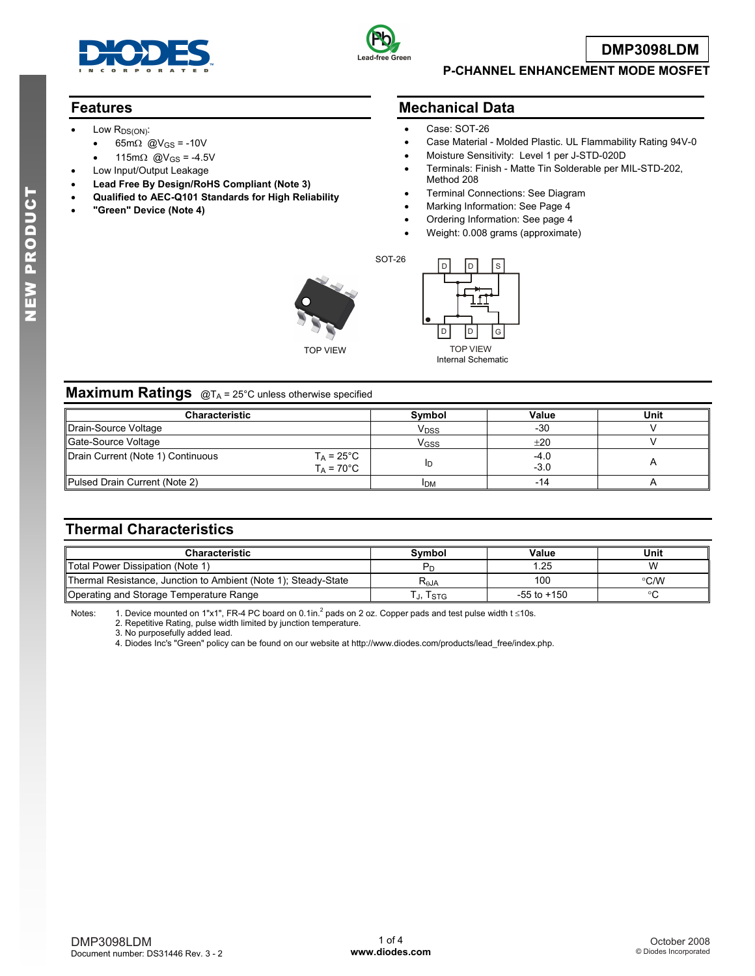



**DMP3098LDM**

#### **P-CHANNEL ENHANCEMENT MODE MOSFET**

## **Features**

- Low  $R_{DS(ON)}$ :
	- 65m $\Omega$  @V<sub>GS</sub> = -10V
	- 115m $\Omega$  @V<sub>GS</sub> = -4.5V
- Low Input/Output Leakage
- **Lead Free By Design/RoHS Compliant (Note 3)**
- **Qualified to AEC-Q101 Standards for High Reliability**
- **"Green" Device (Note 4)**

#### **Mechanical Data**

- Case: SOT-26
- Case Material Molded Plastic. UL Flammability Rating 94V-0
- Moisture Sensitivity: Level 1 per J-STD-020D
- Terminals: Finish Matte Tin Solderable per MIL-STD-202, Method 208
- Terminal Connections: See Diagram
- Marking Information: See Page 4
- Ordering Information: See page 4
- Weight: 0.008 grams (approximate)

TOP VIEW



Internal Schematic

#### **Maximum Ratings** @T<sub>A</sub> = 25°C unless otherwise specified

| <b>Characteristic</b>                                                            | Symbol           | Value          | Unit |  |
|----------------------------------------------------------------------------------|------------------|----------------|------|--|
| Drain-Source Voltage                                                             | V <sub>DSS</sub> | $-30$          |      |  |
| Gate-Source Voltage                                                              | V <sub>GSS</sub> | $+20$          |      |  |
| Drain Current (Note 1) Continuous<br>$T_A = 25^{\circ}$ C<br>$T_A = 70^{\circ}C$ | םו               | -4.0<br>$-3.0$ |      |  |
| Pulsed Drain Current (Note 2)                                                    | <b>IDM</b>       |                |      |  |

SOT-26

# **Thermal Characteristics**

| <b>Characteristic</b>                                          | Svmbol           | Value           | Unit          |
|----------------------------------------------------------------|------------------|-----------------|---------------|
| Total Power Dissipation (Note 1)                               | ۲۳               | .25             | w             |
| Thermal Resistance, Junction to Ambient (Note 1); Steady-State | R <sub>aja</sub> | 100             | $\degree$ C/W |
| Operating and Storage Temperature Range                        | კ, Isтი          | $-55$ to $+150$ |               |

Notes: 1. Device mounted on 1"x1", FR-4 PC board on 0.1in.<sup>2</sup> pads on 2 oz. Copper pads and test pulse width t ≤10s.

2. Repetitive Rating, pulse width limited by junction temperature.

3. No purposefully added lead.

4. Diodes Inc's "Green" policy can be found on our website at http://www.diodes.com/products/lead\_free/index.php.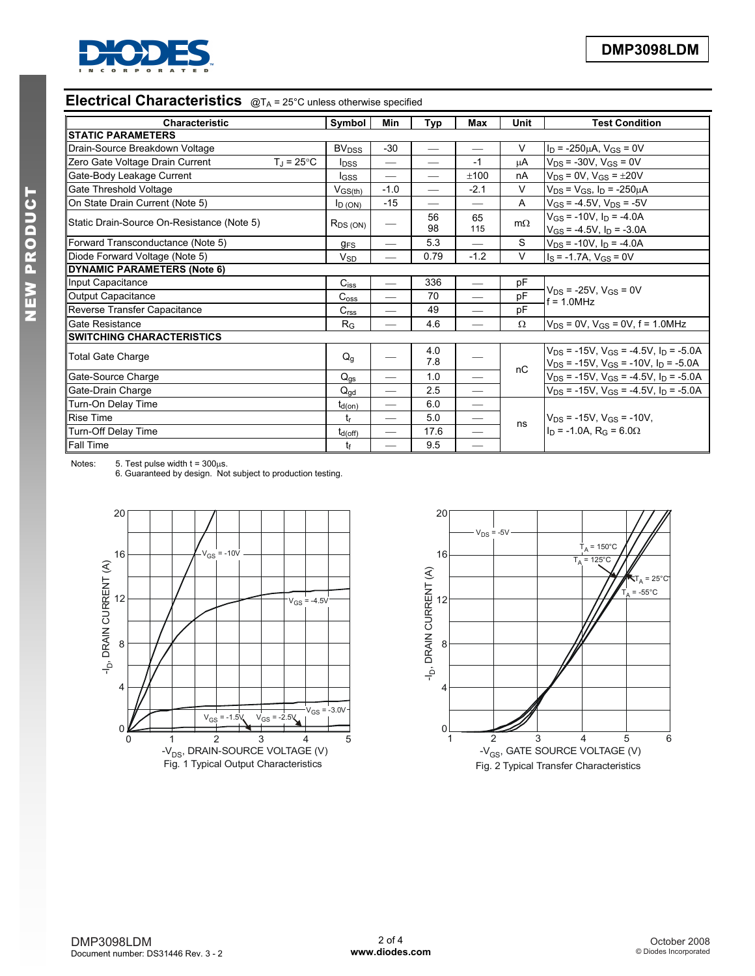

# **Electrical Characteristics**  $QT_A = 25^\circ C$  unless otherwise specified

| <b>Characteristic</b>                                            | Symbol                  | Min                      | Typ               | <b>Max</b>               | <b>Unit</b> | <b>Test Condition</b>                                                                               |  |
|------------------------------------------------------------------|-------------------------|--------------------------|-------------------|--------------------------|-------------|-----------------------------------------------------------------------------------------------------|--|
| <b>STATIC PARAMETERS</b>                                         |                         |                          |                   |                          |             |                                                                                                     |  |
| Drain-Source Breakdown Voltage                                   |                         | $-30$                    |                   |                          | V           | $I_D$ = -250 $\mu$ A, V <sub>GS</sub> = 0V                                                          |  |
| Zero Gate Voltage Drain Current<br>$T_{\rm J}$ = 25 $^{\circ}$ C | <b>l</b> <sub>DSS</sub> |                          |                   | $-1$                     | μA          | $V_{DS}$ = -30V, $V_{GS}$ = 0V                                                                      |  |
| Gate-Body Leakage Current                                        | I <sub>GSS</sub>        |                          | $\hspace{0.05cm}$ | $+100$                   | nA          | $V_{DS}$ = 0V, $V_{GS}$ = $\pm 20V$                                                                 |  |
| Gate Threshold Voltage                                           | $V_{GS(th)}$            | $-1.0$                   |                   | $-2.1$                   | V           | $V_{DS} = V_{GS}$ , $I_D = -250 \mu A$                                                              |  |
| On State Drain Current (Note 5)                                  | $I_D (ON)$              | $-15$                    |                   |                          | A           | $V_{GS}$ = -4.5V, $V_{DS}$ = -5V                                                                    |  |
| Static Drain-Source On-Resistance (Note 5)                       | $R_{DS(ON)}$            | $\overline{\phantom{0}}$ | 56<br>98          | 65<br>115                | $m\Omega$   | $V_{GS}$ = -10V, $I_D$ = -4.0A<br>$V_{GS}$ = -4.5V, $I_D$ = -3.0A                                   |  |
| Forward Transconductance (Note 5)                                | $g_{FS}$                | $\overline{\phantom{0}}$ | 5.3               | $\overline{\phantom{0}}$ | S           | $V_{DS}$ = -10V, $I_D$ = -4.0A                                                                      |  |
| Diode Forward Voltage (Note 5)                                   |                         |                          | 0.79              | $-1.2$                   | V           | $I_S = -1.7A$ , $V_{GS} = 0V$                                                                       |  |
| <b>DYNAMIC PARAMETERS (Note 6)</b>                               |                         |                          |                   |                          |             |                                                                                                     |  |
| Input Capacitance                                                |                         |                          | 336               |                          | pF          | $V_{DS}$ = -25V, $V_{GS}$ = 0V<br>$f = 1.0 MHz$                                                     |  |
| <b>Output Capacitance</b>                                        |                         |                          | 70                |                          | pF          |                                                                                                     |  |
| Reverse Transfer Capacitance                                     | C <sub>rss</sub>        |                          | 49                |                          | pF          |                                                                                                     |  |
| Gate Resistance                                                  |                         |                          | 4.6               |                          | $\Omega$    | $V_{DS} = 0V$ , $V_{GS} = 0V$ , $f = 1.0 MHz$                                                       |  |
| <b>SWITCHING CHARACTERISTICS</b>                                 |                         |                          |                   |                          |             |                                                                                                     |  |
| <b>Total Gate Charge</b>                                         |                         |                          | 4.0<br>7.8        |                          | nC          | $V_{DS}$ = -15V, $V_{GS}$ = -4.5V, $I_D$ = -5.0A<br>$V_{DS}$ = -15V, $V_{GS}$ = -10V, $I_D$ = -5.0A |  |
| Gate-Source Charge                                               | $Q_{\text{gs}}$         | $\overline{\phantom{0}}$ | 1.0               | —                        |             | $V_{DS}$ = -15V, V <sub>GS</sub> = -4.5V, I <sub>D</sub> = -5.0A                                    |  |
| Gate-Drain Charge                                                | $Q_{\text{ad}}$         | $\overline{\phantom{0}}$ | 2.5               |                          |             | $V_{DS}$ = -15V, $V_{GS}$ = -4.5V, $I_D$ = -5.0A                                                    |  |
| Turn-On Delay Time                                               | $t_{d(on)}$             | $\overline{\phantom{0}}$ | 6.0               |                          |             |                                                                                                     |  |
| <b>Rise Time</b>                                                 |                         | $\overline{\phantom{0}}$ | 5.0               |                          | ns          | $V_{DS}$ = -15V, V <sub>GS</sub> = -10V,                                                            |  |
| Turn-Off Delay Time                                              | $t_{d(Off)}$            | $\overline{\phantom{0}}$ | 17.6              |                          |             | $In = -1.0A$ , $R_G = 6.0\Omega$                                                                    |  |
| Fall Time                                                        | tf                      | $\overline{\phantom{0}}$ | 9.5               | $\overline{\phantom{0}}$ |             |                                                                                                     |  |

Notes: 5. Test pulse width  $t = 300\mu s$ .

6. Guaranteed by design. Not subject to production testing.



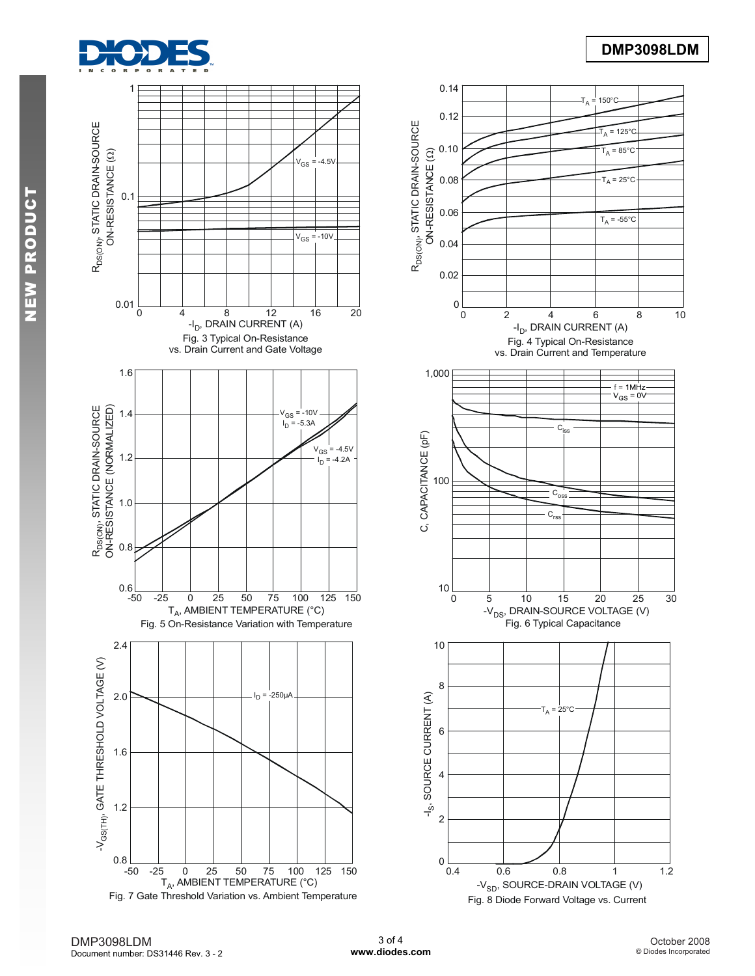

# **DMP3098LDM**



DMP3098LDM Document number: DS31446 Rev. 3 - 2